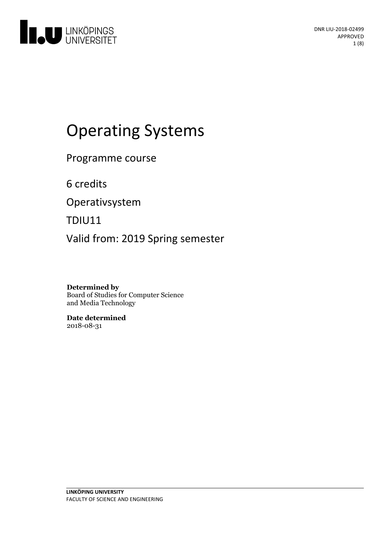

# **Operating Systems**

Programme course

6 credits

Operativsystem

TDIU11

Valid from: 2019 Spring semester

**Determined by** Board of Studies for Computer Science and Media Technology

**Date determined** 2018-08-31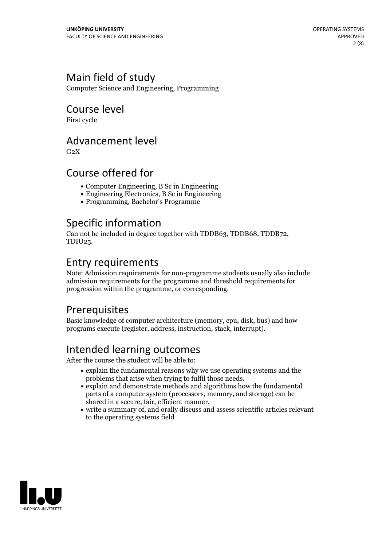# Main field of study

Computer Science and Engineering, Programming

### Course level

First cycle

### Advancement level

 $G<sub>2</sub>X$ 

### Course offered for

- Computer Engineering, B Sc in Engineering
- Engineering Electronics, B Sc in Engineering
- Programming, Bachelor's Programme

# Specific information

Can not be included in degree together with TDDB63, TDDB68, TDDB72, TDIU25.

### Entry requirements

Note: Admission requirements for non-programme students usually also include admission requirements for the programme and threshold requirements for progression within the programme, or corresponding.

# Prerequisites

Basic knowledge of computer architecture (memory, cpu, disk, bus) and how programs execute (register, address, instruction, stack, interrupt).

# Intended learning outcomes

After the course the student will be able to:

- explain the fundamental reasons why we use operating systems and the problems that arise when trying to fulfil those needs.<br>• explain and demonstrate methods and algorithms how the fundamental
- parts of a computer system (processors, memory, and storage) can be
- $\bullet$  write a summary of, and orally discuss and assess scientific articles relevant to the operating systems field

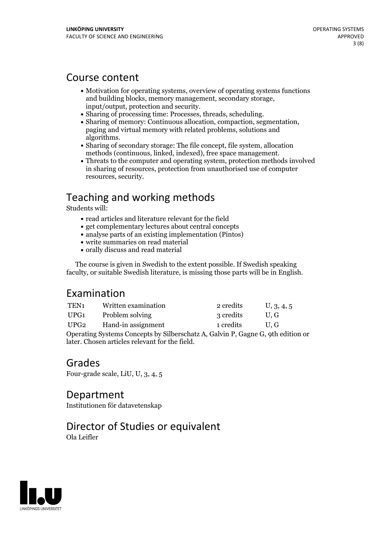### Course content

- Motivation for operating systems, overview of operating systems functions and building blocks, memory management, secondary storage,<br>
input/output, protection and security.<br>
• Sharing of processing time: Processes, threads, scheduling.<br>
• Sharing of memory: Continuous allocation, compaction, seg
- 
- 
- algorithms.<br>• Sharing of secondary storage: The file concept, file system, allocation<br>methods (continuous, linked, indexed), free space management.
- $\bullet$  Threats to the computer and operating system, protection methods involved in sharing of resources, protection from unauthorised use of computer resources, security.

# Teaching and working methods

Students will:

- read articles and literature relevant for the field
- get complementary lectures about central concepts
- analyse parts of an existing implementation (Pintos)
- write summaries on read material
- orally discuss and read material

The course is given in Swedish to the extent possible. If Swedish speaking faculty, or suitable Swedish literature, is missing those parts will be in English.

# Examination

| TEN <sub>1</sub>                                                                | Written examination | 2 credits | U, 3, 4, 5    |
|---------------------------------------------------------------------------------|---------------------|-----------|---------------|
| UPG1                                                                            | Problem solving     | 3 credits | $U_{\rm L}$ G |
| UPG2                                                                            | Hand-in assignment  | 1 credits | U.G           |
| Operating Systems Concepts by Silberschatz A, Galvin P, Gagne G, 9th edition or |                     |           |               |
|                                                                                 |                     |           |               |

later. Chosen articles relevant for the field.

Grades Four-grade scale, LiU, U, 3, 4, 5

Department Institutionen för datavetenskap

# Director of Studies or equivalent

Ola Leifler

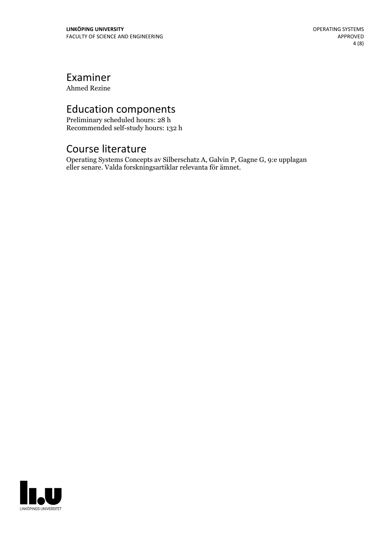# Examiner

Ahmed Rezine

# Education components

Preliminary scheduled hours: 28 h Recommended self-study hours: 132 h

# Course literature

Operating Systems Concepts av Silberschatz A, Galvin P, Gagne G, 9:e upplagan eller senare. Valda forskningsartiklar relevanta för ämnet.

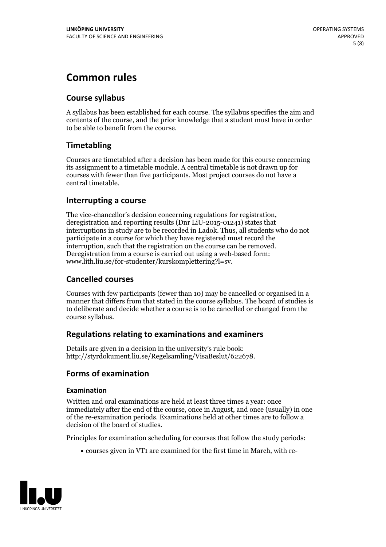# **Common rules**

### **Course syllabus**

A syllabus has been established for each course. The syllabus specifies the aim and contents of the course, and the prior knowledge that a student must have in order to be able to benefit from the course.

### **Timetabling**

Courses are timetabled after a decision has been made for this course concerning its assignment to a timetable module. A central timetable is not drawn up for courses with fewer than five participants. Most project courses do not have a central timetable.

### **Interrupting a course**

The vice-chancellor's decision concerning regulations for registration, deregistration and reporting results (Dnr LiU-2015-01241) states that interruptions in study are to be recorded in Ladok. Thus, all students who do not participate in a course for which they have registered must record the interruption, such that the registration on the course can be removed. Deregistration from <sup>a</sup> course is carried outusing <sup>a</sup> web-based form: www.lith.liu.se/for-studenter/kurskomplettering?l=sv.

### **Cancelled courses**

Courses with few participants (fewer than 10) may be cancelled or organised in a manner that differs from that stated in the course syllabus. The board of studies is to deliberate and decide whether a course is to be cancelled orchanged from the course syllabus.

### **Regulations relatingto examinations and examiners**

Details are given in a decision in the university's rule book: http://styrdokument.liu.se/Regelsamling/VisaBeslut/622678.

### **Forms of examination**

### **Examination**

Written and oral examinations are held at least three times a year: once immediately after the end of the course, once in August, and once (usually) in one of the re-examination periods. Examinations held at other times are to follow a decision of the board of studies.

Principles for examination scheduling for courses that follow the study periods:

courses given in VT1 are examined for the first time in March, with re-

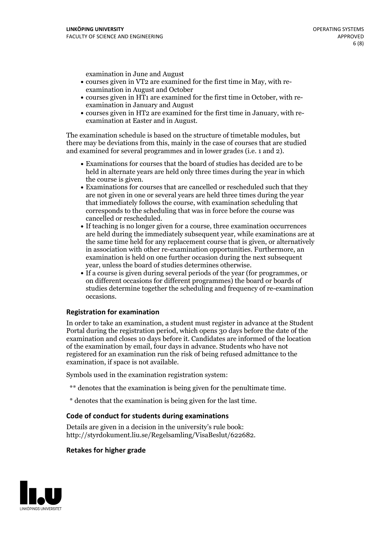examination in June and August

- courses given in VT2 are examined for the first time in May, with re-examination in August and October
- courses given in HT1 are examined for the first time in October, with re-examination in January and August
- courses given in HT2 are examined for the first time in January, with re-examination at Easter and in August.

The examination schedule is based on the structure of timetable modules, but there may be deviations from this, mainly in the case of courses that are studied and examined for several programmes and in lower grades (i.e. 1 and 2).

- Examinations for courses that the board of studies has decided are to be held in alternate years are held only three times during the year in which
- the course is given.<br>• Examinations for courses that are cancelled or rescheduled such that they are not given in one or several years are held three times during the year that immediately follows the course, with examination scheduling that corresponds to the scheduling that was in force before the course was cancelled or rescheduled.<br>• If teaching is no longer given for a course, three examination occurrences
- are held during the immediately subsequent year, while examinations are at the same time held for any replacement course that is given, or alternatively in association with other re-examination opportunities. Furthermore, an examination is held on one further occasion during the next subsequent year, unless the board of studies determines otherwise.<br>• If a course is given during several periods of the year (for programmes, or
- on different occasions for different programmes) the board orboards of studies determine together the scheduling and frequency of re-examination occasions.

#### **Registration for examination**

In order to take an examination, a student must register in advance at the Student Portal during the registration period, which opens 30 days before the date of the examination and closes 10 days before it. Candidates are informed of the location of the examination by email, four days in advance. Students who have not registered for an examination run the risk of being refused admittance to the examination, if space is not available.

Symbols used in the examination registration system:

- \*\* denotes that the examination is being given for the penultimate time.
- \* denotes that the examination is being given for the last time.

#### **Code of conduct for students during examinations**

Details are given in a decision in the university's rule book: http://styrdokument.liu.se/Regelsamling/VisaBeslut/622682.

#### **Retakes for higher grade**

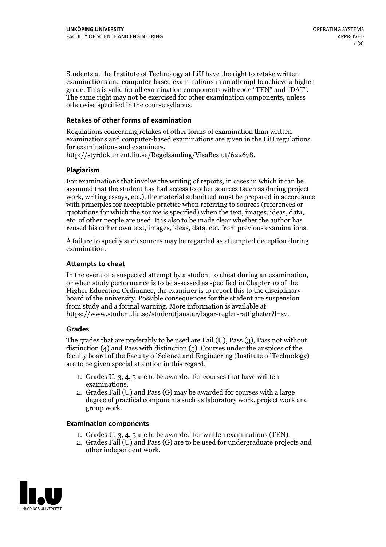Students at the Institute of Technology at LiU have the right to retake written examinations and computer-based examinations in an attempt to achieve a higher grade. This is valid for all examination components with code "TEN" and "DAT". The same right may not be exercised for other examination components, unless otherwise specified in the course syllabus.

### **Retakes of other forms of examination**

Regulations concerning retakes of other forms of examination than written examinations and computer-based examinations are given in the LiU regulations for examinations and examiners, http://styrdokument.liu.se/Regelsamling/VisaBeslut/622678.

#### **Plagiarism**

For examinations that involve the writing of reports, in cases in which it can be assumed that the student has had access to other sources (such as during project work, writing essays, etc.), the material submitted must be prepared in accordance with principles for acceptable practice when referring to sources (references or quotations for which the source is specified) when the text, images, ideas, data, etc. of other people are used. It is also to be made clear whether the author has reused his or her own text, images, ideas, data, etc. from previous examinations.

A failure to specify such sources may be regarded as attempted deception during examination.

#### **Attempts to cheat**

In the event of <sup>a</sup> suspected attempt by <sup>a</sup> student to cheat during an examination, or when study performance is to be assessed as specified in Chapter <sup>10</sup> of the Higher Education Ordinance, the examiner is to report this to the disciplinary board of the university. Possible consequences for the student are suspension from study and a formal warning. More information is available at https://www.student.liu.se/studenttjanster/lagar-regler-rattigheter?l=sv.

#### **Grades**

The grades that are preferably to be used are Fail (U), Pass (3), Pass not without distinction  $(4)$  and Pass with distinction  $(5)$ . Courses under the auspices of the faculty board of the Faculty of Science and Engineering (Institute of Technology) are to be given special attention in this regard.

- 1. Grades U, 3, 4, 5 are to be awarded for courses that have written
- examinations. 2. Grades Fail (U) and Pass (G) may be awarded for courses with <sup>a</sup> large degree of practical components such as laboratory work, project work and group work.

#### **Examination components**

- 
- 1. Grades U, 3, 4, <sup>5</sup> are to be awarded for written examinations (TEN). 2. Grades Fail (U) and Pass (G) are to be used for undergraduate projects and other independent work.